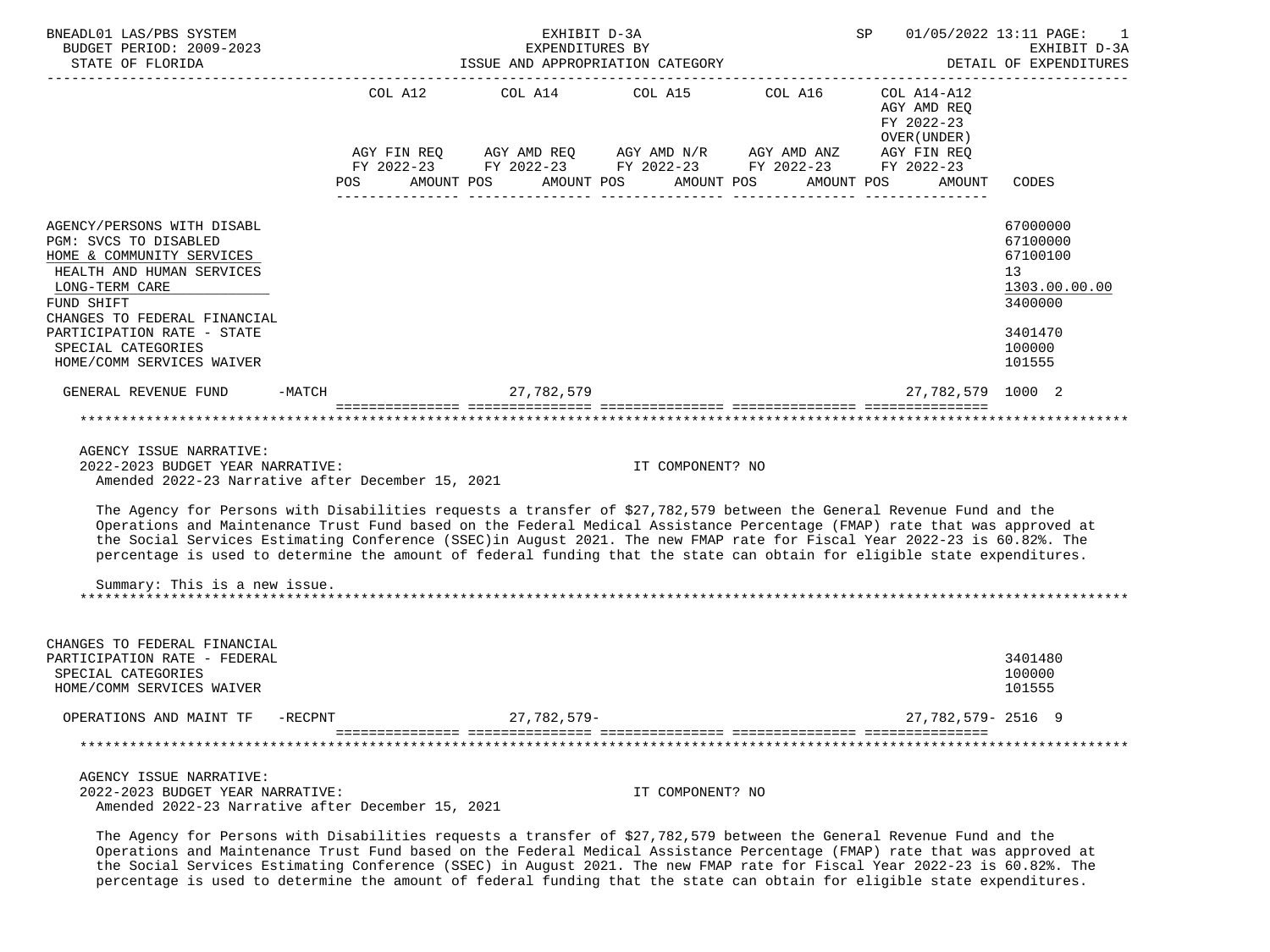| BNEADL01 LAS/PBS SYSTEM<br>BUDGET PERIOD: 2009-2023<br>STATE OF FLORIDA                                                                                                                                                                                                                                                                                                            |                          | EXHIBIT D-3A<br>EXPENDITURES BY | ISSUE AND APPROPRIATION CATEGORY                                                                                                                                                                                                                                                                                                                                             |            | SP                                        | 01/05/2022 13:11 PAGE:<br>EXHIBIT D-3A<br>DETAIL OF EXPENDITURES   |
|------------------------------------------------------------------------------------------------------------------------------------------------------------------------------------------------------------------------------------------------------------------------------------------------------------------------------------------------------------------------------------|--------------------------|---------------------------------|------------------------------------------------------------------------------------------------------------------------------------------------------------------------------------------------------------------------------------------------------------------------------------------------------------------------------------------------------------------------------|------------|-------------------------------------------|--------------------------------------------------------------------|
|                                                                                                                                                                                                                                                                                                                                                                                    | COL A12                  |                                 | COL A14 COL A15 COL A16 COL A14-A12<br>$\begin{array}{lllllll} {\text{AGY}} & {\text{FIN}} & {\text{REG}} & {\text{AGY}} & {\text{AMP}} & {\text{AGY}} & {\text{AMP}} & {\text{M}} & {\text{M}} & {\text{H}} & {\text{H}} & {\text{H}} \\ {\text{FY}} & 2022-23 & {\text{FY}} & 2022-23 & {\text{FY}} & 2022-23 & {\text{FY}} & 2022-23 & {\text{FY}} & 2022-23 \end{array}$ |            | AGY AMD REQ<br>FY 2022-23<br>OVER (UNDER) |                                                                    |
|                                                                                                                                                                                                                                                                                                                                                                                    | AMOUNT POS<br><b>POS</b> |                                 | AMOUNT POS                                                                                                                                                                                                                                                                                                                                                                   | AMOUNT POS | AMOUNT POS<br>AMOUNT                      | <b>CODES</b>                                                       |
| AGENCY/PERSONS WITH DISABL<br>PGM: SVCS TO DISABLED<br>HOME & COMMUNITY SERVICES<br>HEALTH AND HUMAN SERVICES<br>LONG-TERM CARE<br>FUND SHIFT<br>CHANGES TO FEDERAL FINANCIAL                                                                                                                                                                                                      |                          |                                 |                                                                                                                                                                                                                                                                                                                                                                              |            |                                           | 67000000<br>67100000<br>67100100<br>13<br>1303.00.00.00<br>3400000 |
| PARTICIPATION RATE - STATE<br>SPECIAL CATEGORIES<br>HOME/COMM SERVICES WAIVER                                                                                                                                                                                                                                                                                                      |                          |                                 |                                                                                                                                                                                                                                                                                                                                                                              |            |                                           | 3401470<br>100000<br>101555                                        |
| GENERAL REVENUE FUND<br>$-MATCH$                                                                                                                                                                                                                                                                                                                                                   |                          | 27, 782, 579                    |                                                                                                                                                                                                                                                                                                                                                                              |            | 27,782,579 1000 2                         |                                                                    |
|                                                                                                                                                                                                                                                                                                                                                                                    |                          |                                 |                                                                                                                                                                                                                                                                                                                                                                              |            |                                           |                                                                    |
| AGENCY ISSUE NARRATIVE:<br>2022-2023 BUDGET YEAR NARRATIVE:<br>Amended 2022-23 Narrative after December 15, 2021<br>The Agency for Persons with Disabilities requests a transfer of \$27,782,579 between the General Revenue Fund and the                                                                                                                                          |                          |                                 | IT COMPONENT? NO                                                                                                                                                                                                                                                                                                                                                             |            |                                           |                                                                    |
| Operations and Maintenance Trust Fund based on the Federal Medical Assistance Percentage (FMAP) rate that was approved at<br>the Social Services Estimating Conference (SSEC) in August 2021. The new FMAP rate for Fiscal Year 2022-23 is 60.82%. The<br>percentage is used to determine the amount of federal funding that the state can obtain for eligible state expenditures. |                          |                                 |                                                                                                                                                                                                                                                                                                                                                                              |            |                                           |                                                                    |
| Summary: This is a new issue.<br>****************************                                                                                                                                                                                                                                                                                                                      |                          |                                 |                                                                                                                                                                                                                                                                                                                                                                              |            |                                           |                                                                    |
| CHANGES TO FEDERAL FINANCIAL<br>PARTICIPATION RATE - FEDERAL<br>SPECIAL CATEGORIES<br>HOME/COMM SERVICES WAIVER                                                                                                                                                                                                                                                                    |                          |                                 |                                                                                                                                                                                                                                                                                                                                                                              |            |                                           | 3401480<br>100000<br>101555                                        |
| OPERATIONS AND MAINT TF<br>-RECPNT                                                                                                                                                                                                                                                                                                                                                 |                          | $27,782,579-$                   |                                                                                                                                                                                                                                                                                                                                                                              |            | 27, 782, 579 - 2516 9                     |                                                                    |
|                                                                                                                                                                                                                                                                                                                                                                                    |                          |                                 |                                                                                                                                                                                                                                                                                                                                                                              |            |                                           |                                                                    |
| AGENCY ISSUE NARRATIVE:<br>2022-2023 BUDGET YEAR NARRATIVE:<br>Amended 2022-23 Narrative after December 15, 2021                                                                                                                                                                                                                                                                   |                          |                                 | IT COMPONENT? NO                                                                                                                                                                                                                                                                                                                                                             |            |                                           |                                                                    |

 The Agency for Persons with Disabilities requests a transfer of \$27,782,579 between the General Revenue Fund and the Operations and Maintenance Trust Fund based on the Federal Medical Assistance Percentage (FMAP) rate that was approved at the Social Services Estimating Conference (SSEC) in August 2021. The new FMAP rate for Fiscal Year 2022-23 is 60.82%. The percentage is used to determine the amount of federal funding that the state can obtain for eligible state expenditures.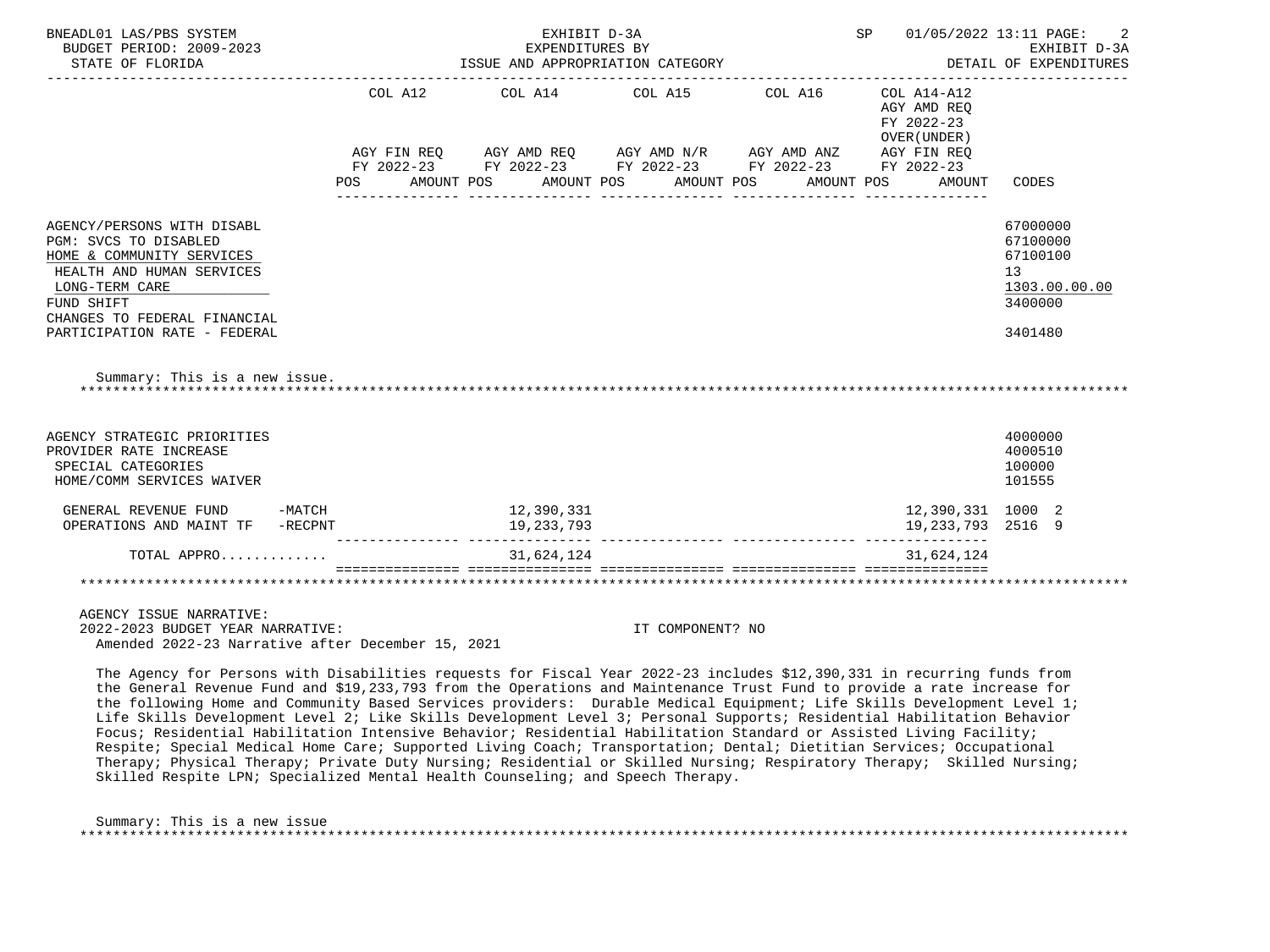| BNEADL01 LAS/PBS SYSTEM<br>BUDGET PERIOD: 2009-2023<br>STATE OF FLORIDA                                                                                                                                                                        | EXHIBIT D-3A<br>EXPENDITURES BY<br>ISSUE AND APPROPRIATION CATEGORY | SP 01/05/2022 13:11 PAGE:                                                                                                                                                                                                                                                                                                                                                                              | 2<br>EXHIBIT D-3A<br>DETAIL OF EXPENDITURES                       |                                                                               |
|------------------------------------------------------------------------------------------------------------------------------------------------------------------------------------------------------------------------------------------------|---------------------------------------------------------------------|--------------------------------------------------------------------------------------------------------------------------------------------------------------------------------------------------------------------------------------------------------------------------------------------------------------------------------------------------------------------------------------------------------|-------------------------------------------------------------------|-------------------------------------------------------------------------------|
|                                                                                                                                                                                                                                                |                                                                     | COL A12 COL A14 COL A15 COL A16 COL A14-A12<br>$AGY \text{ } \text{FIN } \text{REQ} \qquad \text{ } AGY \text{ } \text{AMD } \text{REQ} \qquad \text{ } AGY \text{ } \text{AMD } \text{N/R} \qquad \text{ } AGY \text{ } \text{AMD } \text{ANZ} \qquad \text{ } AGY \text{ } \text{FIN } \text{REQ}$<br>FY 2022-23 FY 2022-23 FY 2022-23 FY 2022-23 FY 2022-23<br>POS AMOUNT POS AMOUNT POS AMOUNT POS | AGY AMD REO<br>FY 2022-23<br>OVER (UNDER)<br>AMOUNT POS<br>AMOUNT | CODES                                                                         |
| AGENCY/PERSONS WITH DISABL<br>PGM: SVCS TO DISABLED<br>HOME & COMMUNITY SERVICES<br>HEALTH AND HUMAN SERVICES<br>LONG-TERM CARE<br>FUND SHIFT<br>CHANGES TO FEDERAL FINANCIAL<br>PARTICIPATION RATE - FEDERAL<br>Summary: This is a new issue. |                                                                     |                                                                                                                                                                                                                                                                                                                                                                                                        |                                                                   | 67000000<br>67100000<br>67100100<br>13<br>1303.00.00.00<br>3400000<br>3401480 |
| AGENCY STRATEGIC PRIORITIES<br>PROVIDER RATE INCREASE<br>SPECIAL CATEGORIES<br>HOME/COMM SERVICES WAIVER<br>$-MATCH$<br>GENERAL REVENUE FUND                                                                                                   | 12,390,331                                                          |                                                                                                                                                                                                                                                                                                                                                                                                        | 12,390,331 1000 2                                                 | 4000000<br>4000510<br>100000<br>101555                                        |
| OPERATIONS AND MAINT TF -RECPNT<br>TOTAL APPRO                                                                                                                                                                                                 | 19,233,793<br>31,624,124                                            |                                                                                                                                                                                                                                                                                                                                                                                                        | 19,233,793 2516 9<br>31,624,124                                   |                                                                               |
| ***********************************<br>AGENCY ISSUE NARRATIVE:                                                                                                                                                                                 |                                                                     |                                                                                                                                                                                                                                                                                                                                                                                                        |                                                                   |                                                                               |

 2022-2023 BUDGET YEAR NARRATIVE: IT COMPONENT? NO Amended 2022-23 Narrative after December 15, 2021

 The Agency for Persons with Disabilities requests for Fiscal Year 2022-23 includes \$12,390,331 in recurring funds from the General Revenue Fund and \$19,233,793 from the Operations and Maintenance Trust Fund to provide a rate increase for the following Home and Community Based Services providers: Durable Medical Equipment; Life Skills Development Level 1; Life Skills Development Level 2; Like Skills Development Level 3; Personal Supports; Residential Habilitation Behavior Focus; Residential Habilitation Intensive Behavior; Residential Habilitation Standard or Assisted Living Facility; Respite; Special Medical Home Care; Supported Living Coach; Transportation; Dental; Dietitian Services; Occupational Therapy; Physical Therapy; Private Duty Nursing; Residential or Skilled Nursing; Respiratory Therapy; Skilled Nursing; Skilled Respite LPN; Specialized Mental Health Counseling; and Speech Therapy.

 Summary: This is a new issue \*\*\*\*\*\*\*\*\*\*\*\*\*\*\*\*\*\*\*\*\*\*\*\*\*\*\*\*\*\*\*\*\*\*\*\*\*\*\*\*\*\*\*\*\*\*\*\*\*\*\*\*\*\*\*\*\*\*\*\*\*\*\*\*\*\*\*\*\*\*\*\*\*\*\*\*\*\*\*\*\*\*\*\*\*\*\*\*\*\*\*\*\*\*\*\*\*\*\*\*\*\*\*\*\*\*\*\*\*\*\*\*\*\*\*\*\*\*\*\*\*\*\*\*\*\*\*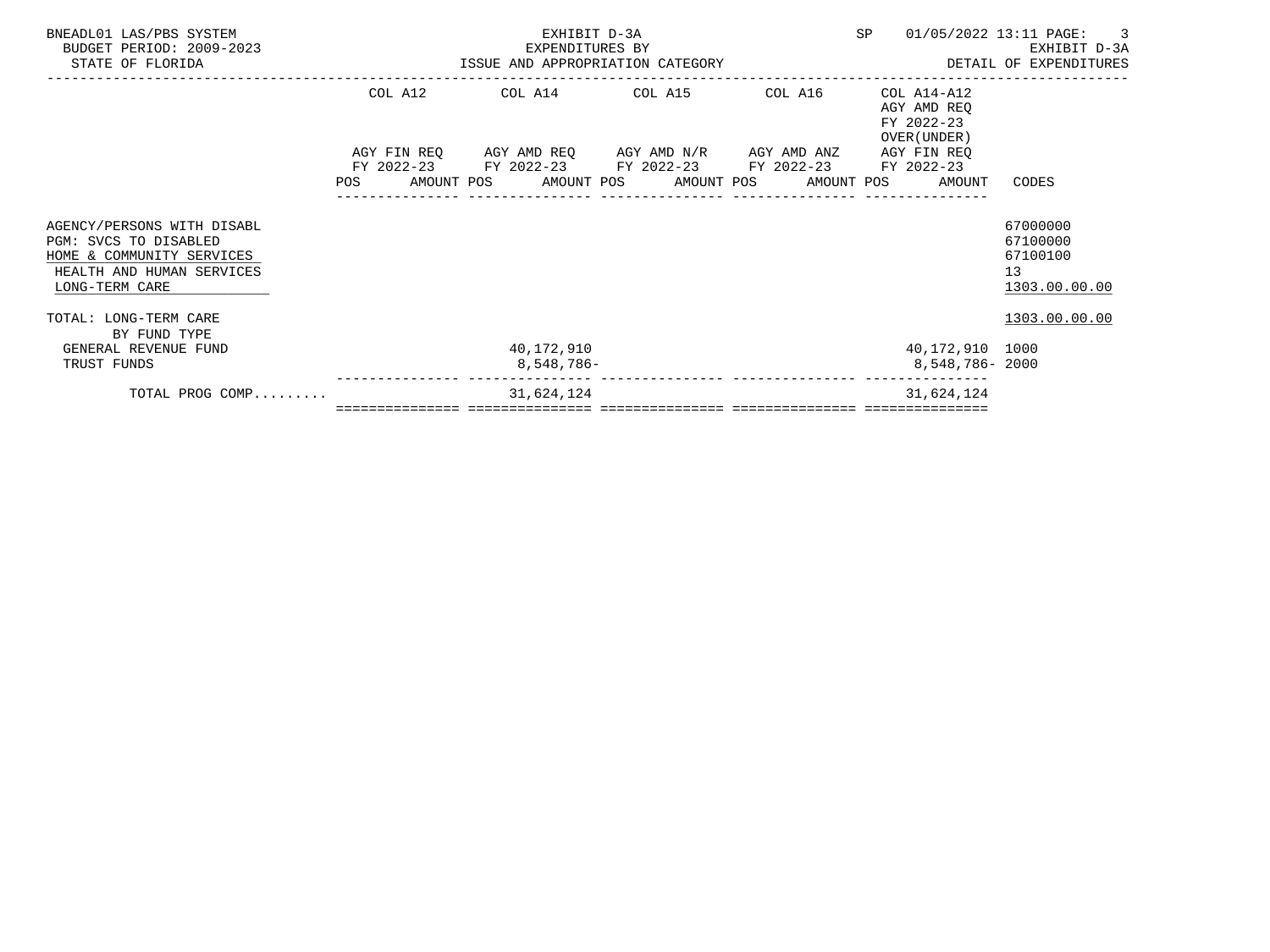| BNEADL01 LAS/PBS SYSTEM<br>BUDGET PERIOD: 2009-2023<br>STATE OF FLORIDA                                                         |         | EXHIBIT D-3A<br>EXPENDITURES BY                                                                           |  | SP                                                                    | 01/05/2022 13:11 PAGE: 3<br>EXHIBIT D-3A                |
|---------------------------------------------------------------------------------------------------------------------------------|---------|-----------------------------------------------------------------------------------------------------------|--|-----------------------------------------------------------------------|---------------------------------------------------------|
|                                                                                                                                 | COL A12 | COL A14 COL A15 COL A16                                                                                   |  | COL A14-A12<br>AGY AMD REQ<br>FY 2022-23<br>OVER (UNDER)              |                                                         |
|                                                                                                                                 |         | AGY FIN REQ AGY AMD REQ AGY AMD N/R AGY AMD ANZ<br>FY 2022-23 FY 2022-23 FY 2022-23 FY 2022-23 FY 2022-23 |  | AGY FIN REO<br>POS AMOUNT POS AMOUNT POS AMOUNT POS AMOUNT POS AMOUNT | CODES                                                   |
| AGENCY/PERSONS WITH DISABL<br>PGM: SVCS TO DISABLED<br>HOME & COMMUNITY SERVICES<br>HEALTH AND HUMAN SERVICES<br>LONG-TERM CARE |         |                                                                                                           |  |                                                                       | 67000000<br>67100000<br>67100100<br>13<br>1303.00.00.00 |
| TOTAL: LONG-TERM CARE<br>BY FUND TYPE                                                                                           |         |                                                                                                           |  |                                                                       | 1303.00.00.00                                           |
| GENERAL REVENUE FUND<br>TRUST FUNDS                                                                                             |         | 40,172,910<br>8,548,786-                                                                                  |  | 40,172,910 1000<br>8,548,786- 2000                                    |                                                         |
| TOTAL PROG COMP                                                                                                                 |         | 31,624,124                                                                                                |  | 31,624,124                                                            |                                                         |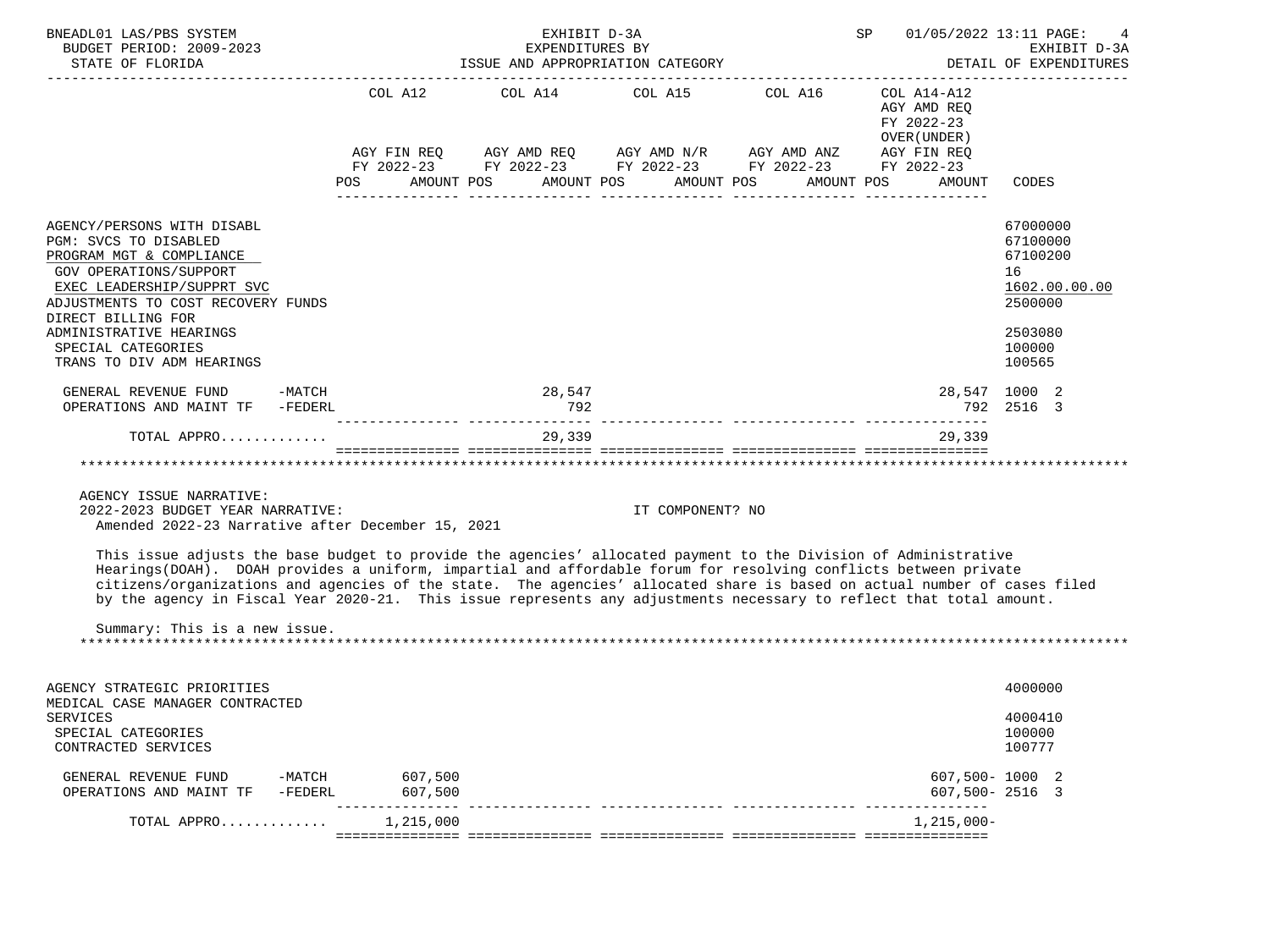| BNEADL01 LAS/PBS SYSTEM<br>BUDGET PERIOD: 2009-2023<br>STATE OF FLORIDA                                                                                                                                                                                                                                                                                                                                                                                                                                                |          | EXHIBIT D-3A<br>EXPENDITURES BY<br>ISSUE AND APPROPRIATION CATEGORY                                                                                                                                                                                                                                                                                                                                          |                  |            | SP                                                                  | 01/05/2022 13:11 PAGE:<br>EXHIBIT D-3A<br>DETAIL OF EXPENDITURES                                  |
|------------------------------------------------------------------------------------------------------------------------------------------------------------------------------------------------------------------------------------------------------------------------------------------------------------------------------------------------------------------------------------------------------------------------------------------------------------------------------------------------------------------------|----------|--------------------------------------------------------------------------------------------------------------------------------------------------------------------------------------------------------------------------------------------------------------------------------------------------------------------------------------------------------------------------------------------------------------|------------------|------------|---------------------------------------------------------------------|---------------------------------------------------------------------------------------------------|
|                                                                                                                                                                                                                                                                                                                                                                                                                                                                                                                        | POS      | COL A12 COL A14 COL A15 COL A16<br>$\begin{array}{lllllll} \text{AGY}\ \text{FIN}\ \text{REQ} & \text{AGY}\ \text{AMD}\ \text{REQ} & \text{AGY}\ \text{AMD}\ \text{N/R} & \text{AGY}\ \text{AMD}\ \text{ANZ} & \text{AGY}\ \text{FIN}\ \text{REQ} \\ \text{FY}\ 2022-23 & \text{FY}\ 2022-23 & \text{FY}\ 2022-23 & \text{FY}\ 2022-23 & \text{FY}\ 2022-23 \end{array}$<br>AMOUNT POS AMOUNT POS AMOUNT POS |                  | AMOUNT POS | COL A14-A12<br>AGY AMD REQ<br>FY 2022-23<br>OVER (UNDER )<br>AMOUNT | CODES                                                                                             |
| AGENCY/PERSONS WITH DISABL<br>PGM: SVCS TO DISABLED<br>PROGRAM MGT & COMPLIANCE<br><b>GOV OPERATIONS/SUPPORT</b><br>EXEC LEADERSHIP/SUPPRT SVC<br>ADJUSTMENTS TO COST RECOVERY FUNDS<br>DIRECT BILLING FOR<br>ADMINISTRATIVE HEARINGS<br>SPECIAL CATEGORIES<br>TRANS TO DIV ADM HEARINGS                                                                                                                                                                                                                               |          |                                                                                                                                                                                                                                                                                                                                                                                                              |                  |            |                                                                     | 67000000<br>67100000<br>67100200<br>16<br>1602.00.00.00<br>2500000<br>2503080<br>100000<br>100565 |
| GENERAL REVENUE FUND -MATCH<br>OPERATIONS AND MAINT TF -FEDERL                                                                                                                                                                                                                                                                                                                                                                                                                                                         |          | 28,547<br>792                                                                                                                                                                                                                                                                                                                                                                                                |                  |            |                                                                     | 28,547 1000 2<br>792 2516 3                                                                       |
| TOTAL APPRO                                                                                                                                                                                                                                                                                                                                                                                                                                                                                                            |          | 29,339                                                                                                                                                                                                                                                                                                                                                                                                       |                  |            | 29,339                                                              |                                                                                                   |
|                                                                                                                                                                                                                                                                                                                                                                                                                                                                                                                        |          |                                                                                                                                                                                                                                                                                                                                                                                                              |                  |            |                                                                     |                                                                                                   |
| AGENCY ISSUE NARRATIVE:<br>2022-2023 BUDGET YEAR NARRATIVE:<br>Amended 2022-23 Narrative after December 15, 2021                                                                                                                                                                                                                                                                                                                                                                                                       |          |                                                                                                                                                                                                                                                                                                                                                                                                              | IT COMPONENT? NO |            |                                                                     |                                                                                                   |
| This issue adjusts the base budget to provide the agencies' allocated payment to the Division of Administrative<br>Hearings(DOAH). DOAH provides a uniform, impartial and affordable forum for resolving conflicts between private<br>citizens/organizations and agencies of the state. The agencies' allocated share is based on actual number of cases filed<br>by the agency in Fiscal Year 2020-21. This issue represents any adjustments necessary to reflect that total amount.<br>Summary: This is a new issue. |          |                                                                                                                                                                                                                                                                                                                                                                                                              |                  |            |                                                                     |                                                                                                   |
|                                                                                                                                                                                                                                                                                                                                                                                                                                                                                                                        |          |                                                                                                                                                                                                                                                                                                                                                                                                              |                  |            |                                                                     |                                                                                                   |
| AGENCY STRATEGIC PRIORITIES<br>MEDICAL CASE MANAGER CONTRACTED                                                                                                                                                                                                                                                                                                                                                                                                                                                         |          |                                                                                                                                                                                                                                                                                                                                                                                                              |                  |            |                                                                     | 4000000                                                                                           |
| <b>SERVICES</b><br>SPECIAL CATEGORIES<br>CONTRACTED SERVICES                                                                                                                                                                                                                                                                                                                                                                                                                                                           |          |                                                                                                                                                                                                                                                                                                                                                                                                              |                  |            |                                                                     | 4000410<br>100000<br>100777                                                                       |
|                                                                                                                                                                                                                                                                                                                                                                                                                                                                                                                        | $\cdots$ |                                                                                                                                                                                                                                                                                                                                                                                                              |                  |            | $\cdots$                                                            |                                                                                                   |

| TOTAL APPRO                                     |                   | 1,215,000          | 1,215,000-                       |  |
|-------------------------------------------------|-------------------|--------------------|----------------------------------|--|
| GENERAL REVENUE FUND<br>OPERATIONS AND MAINT TF | -MATCH<br>-FEDERL | 607,500<br>607,500 | 607,500-1000 2<br>607,500-2516 3 |  |
|                                                 |                   |                    |                                  |  |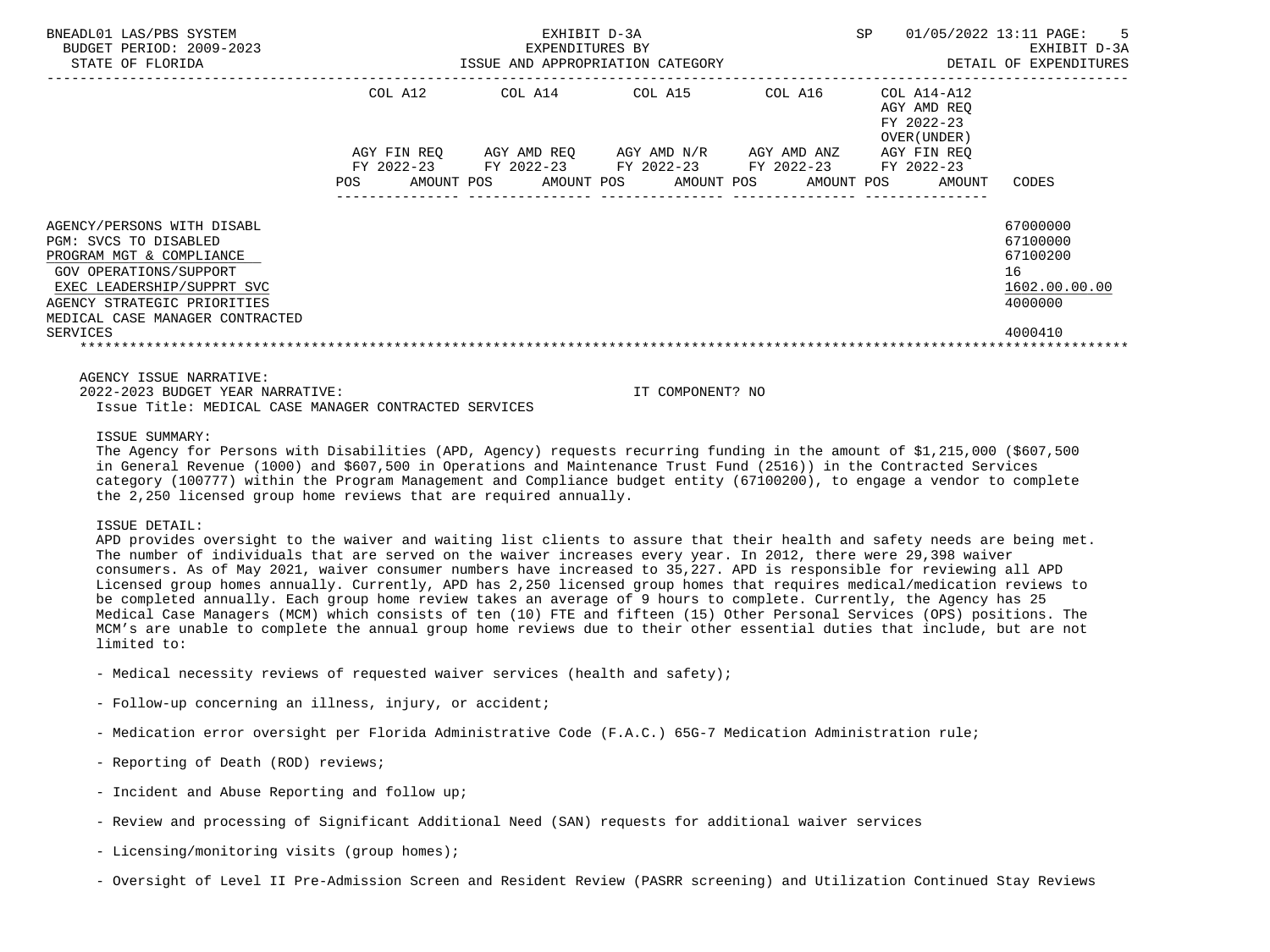| BNEADL01 LAS/PBS SYSTEM<br>BUDGET PERIOD: 2009-2023<br>STATE OF FLORIDA |         | EXHIBIT D-3A<br>EXPENDITURES BY |                  |                                                        |                                                           | SP 01/05/2022 13:11 PAGE: 5<br>EXHIBIT D-3A<br>ISSUE AND APPROPRIATION CATEGORY <b>ALL SECONS</b> OF TAIL OF EXPENDITURES |
|-------------------------------------------------------------------------|---------|---------------------------------|------------------|--------------------------------------------------------|-----------------------------------------------------------|---------------------------------------------------------------------------------------------------------------------------|
|                                                                         | COL A12 |                                 |                  | COL A14 COL A15 COL A16                                | COL A14-A12<br>AGY AMD REO<br>FY 2022-23<br>OVER (UNDER ) |                                                                                                                           |
|                                                                         |         |                                 |                  | AGY FIN REQ AGY AMD REQ AGY AMD N/R AGY AMD ANZ        | AGY FIN REO                                               |                                                                                                                           |
|                                                                         |         |                                 |                  | FY 2022-23 FY 2022-23 FY 2022-23 FY 2022-23 FY 2022-23 |                                                           |                                                                                                                           |
|                                                                         |         |                                 |                  | POS AMOUNT POS AMOUNT POS AMOUNT POS AMOUNT POS AMOUNT |                                                           | CODES                                                                                                                     |
|                                                                         |         |                                 |                  |                                                        |                                                           |                                                                                                                           |
| AGENCY/PERSONS WITH DISABL                                              |         |                                 |                  |                                                        |                                                           | 67000000                                                                                                                  |
| PGM: SVCS TO DISABLED                                                   |         |                                 |                  |                                                        |                                                           | 67100000                                                                                                                  |
| PROGRAM MGT & COMPLIANCE                                                |         |                                 |                  |                                                        |                                                           | 67100200                                                                                                                  |
| GOV OPERATIONS/SUPPORT                                                  |         |                                 |                  |                                                        |                                                           | 16                                                                                                                        |
| EXEC LEADERSHIP/SUPPRT SVC                                              |         |                                 |                  |                                                        |                                                           | 1602.00.00.00<br>4000000                                                                                                  |
| AGENCY STRATEGIC PRIORITIES<br>MEDICAL CASE MANAGER CONTRACTED          |         |                                 |                  |                                                        |                                                           |                                                                                                                           |
| SERVICES                                                                |         |                                 |                  |                                                        |                                                           | 4000410                                                                                                                   |
|                                                                         |         |                                 |                  |                                                        |                                                           |                                                                                                                           |
| AGENCY ISSUE NARRATIVE:                                                 |         |                                 |                  |                                                        |                                                           |                                                                                                                           |
| 2022-2023 BUDGET YEAR NARRATIVE:                                        |         |                                 | IT COMPONENT? NO |                                                        |                                                           |                                                                                                                           |
|                                                                         |         |                                 |                  |                                                        |                                                           |                                                                                                                           |

Issue Title: MEDICAL CASE MANAGER CONTRACTED SERVICES

ISSUE SUMMARY:

 The Agency for Persons with Disabilities (APD, Agency) requests recurring funding in the amount of \$1,215,000 (\$607,500 in General Revenue (1000) and \$607,500 in Operations and Maintenance Trust Fund (2516)) in the Contracted Services category (100777) within the Program Management and Compliance budget entity (67100200), to engage a vendor to complete the 2,250 licensed group home reviews that are required annually.

ISSUE DETAIL:

 APD provides oversight to the waiver and waiting list clients to assure that their health and safety needs are being met. The number of individuals that are served on the waiver increases every year. In 2012, there were 29,398 waiver consumers. As of May 2021, waiver consumer numbers have increased to 35,227. APD is responsible for reviewing all APD Licensed group homes annually. Currently, APD has 2,250 licensed group homes that requires medical/medication reviews to be completed annually. Each group home review takes an average of 9 hours to complete. Currently, the Agency has 25 Medical Case Managers (MCM) which consists of ten (10) FTE and fifteen (15) Other Personal Services (OPS) positions. The MCM's are unable to complete the annual group home reviews due to their other essential duties that include, but are not limited to:

- Medical necessity reviews of requested waiver services (health and safety);
- Follow-up concerning an illness, injury, or accident;
- Medication error oversight per Florida Administrative Code (F.A.C.) 65G-7 Medication Administration rule;
- Reporting of Death (ROD) reviews;
- Incident and Abuse Reporting and follow up;
- Review and processing of Significant Additional Need (SAN) requests for additional waiver services
- Licensing/monitoring visits (group homes);
- Oversight of Level II Pre-Admission Screen and Resident Review (PASRR screening) and Utilization Continued Stay Reviews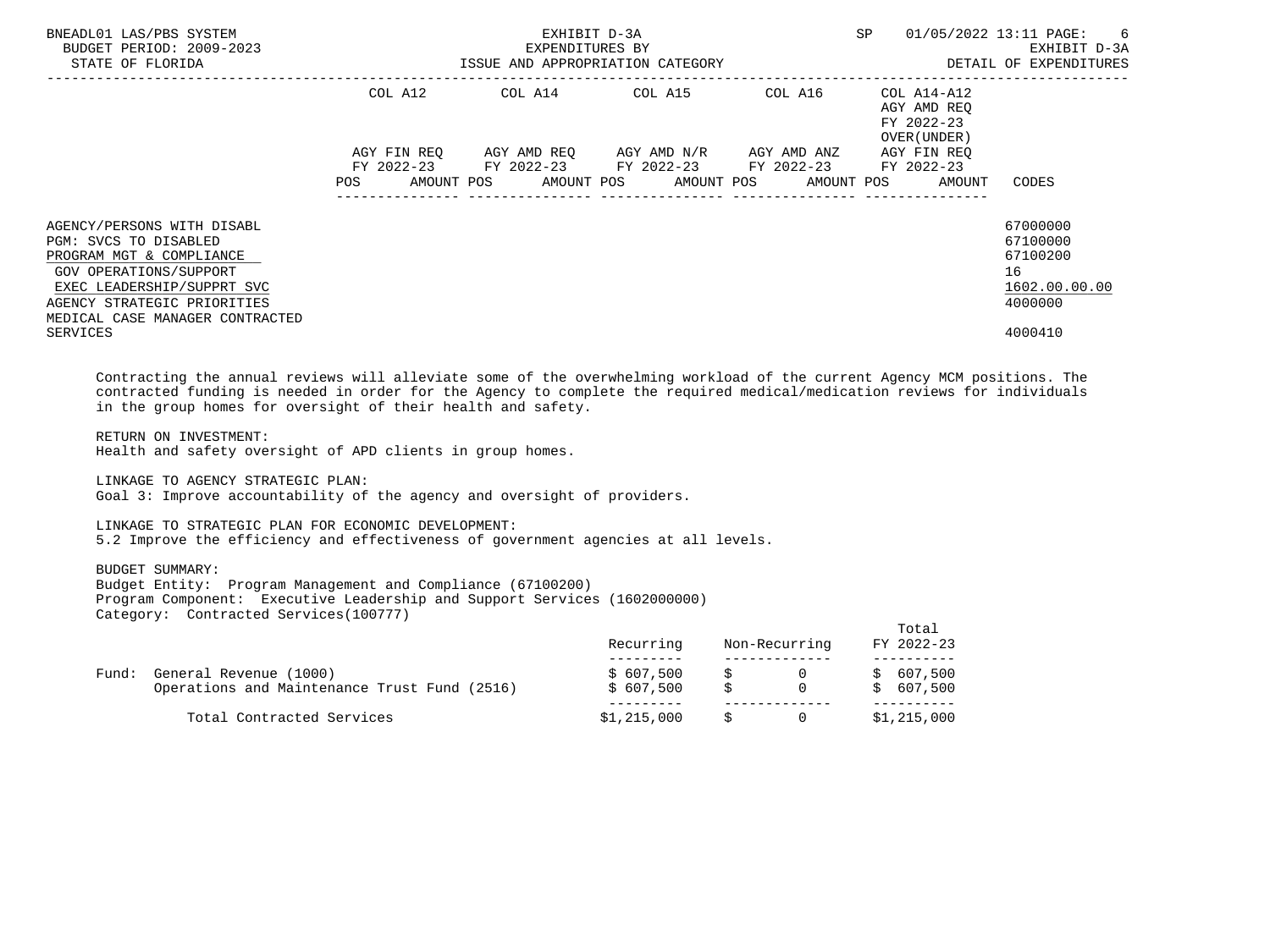| BNEADL01 LAS/PBS SYSTEM<br>BUDGET PERIOD: 2009-2023<br>STATE OF FLORIDA                                                                                                                                               |                        | EXHIBIT D-3A<br>EXPENDITURES BY | ISSUE AND APPROPRIATION CATEGORY                                                                      | SP                                                                      | 01/05/2022 13:11 PAGE: 6<br>EXHIBIT D-3A<br>DETAIL OF EXPENDITURES            |
|-----------------------------------------------------------------------------------------------------------------------------------------------------------------------------------------------------------------------|------------------------|---------------------------------|-------------------------------------------------------------------------------------------------------|-------------------------------------------------------------------------|-------------------------------------------------------------------------------|
|                                                                                                                                                                                                                       | COL A12<br>AGY FIN REO |                                 | COL A14 COL A15 COL A16<br>AGY AMD REO AGY AMD N/R AGY AMD ANZ                                        | COL A14-A12<br>AGY AMD REO<br>FY 2022-23<br>OVER (UNDER)<br>AGY FIN REO |                                                                               |
|                                                                                                                                                                                                                       | <b>POS</b>             |                                 | FY 2022-23 FY 2022-23 FY 2022-23 FY 2022-23 FY 2022-23<br>AMOUNT POS AMOUNT POS AMOUNT POS AMOUNT POS | AMOUNT                                                                  | CODES                                                                         |
| AGENCY/PERSONS WITH DISABL<br>PGM: SVCS TO DISABLED<br>PROGRAM MGT & COMPLIANCE<br>GOV OPERATIONS/SUPPORT<br>EXEC LEADERSHIP/SUPPRT SVC<br>AGENCY STRATEGIC PRIORITIES<br>MEDICAL CASE MANAGER CONTRACTED<br>SERVICES |                        |                                 |                                                                                                       |                                                                         | 67000000<br>67100000<br>67100200<br>16<br>1602.00.00.00<br>4000000<br>4000410 |

 Contracting the annual reviews will alleviate some of the overwhelming workload of the current Agency MCM positions. The contracted funding is needed in order for the Agency to complete the required medical/medication reviews for individuals in the group homes for oversight of their health and safety.

#### RETURN ON INVESTMENT:

Health and safety oversight of APD clients in group homes.

 LINKAGE TO AGENCY STRATEGIC PLAN: Goal 3: Improve accountability of the agency and oversight of providers.

#### LINKAGE TO STRATEGIC PLAN FOR ECONOMIC DEVELOPMENT:

5.2 Improve the efficiency and effectiveness of government agencies at all levels.

# BUDGET SUMMARY:

 Budget Entity: Program Management and Compliance (67100200) Program Component: Executive Leadership and Support Services (1602000000) Category: Contracted Services(100777)

|       |                                                                        | Recurring               | Non-Recurring | Total<br>FY 2022-23    |
|-------|------------------------------------------------------------------------|-------------------------|---------------|------------------------|
| Fund: | General Revenue (1000)<br>Operations and Maintenance Trust Fund (2516) | \$ 607,500<br>\$607,500 |               | \$607,500<br>\$607,500 |
|       | Total Contracted Services                                              | \$1,215,000             |               | \$1,215,000            |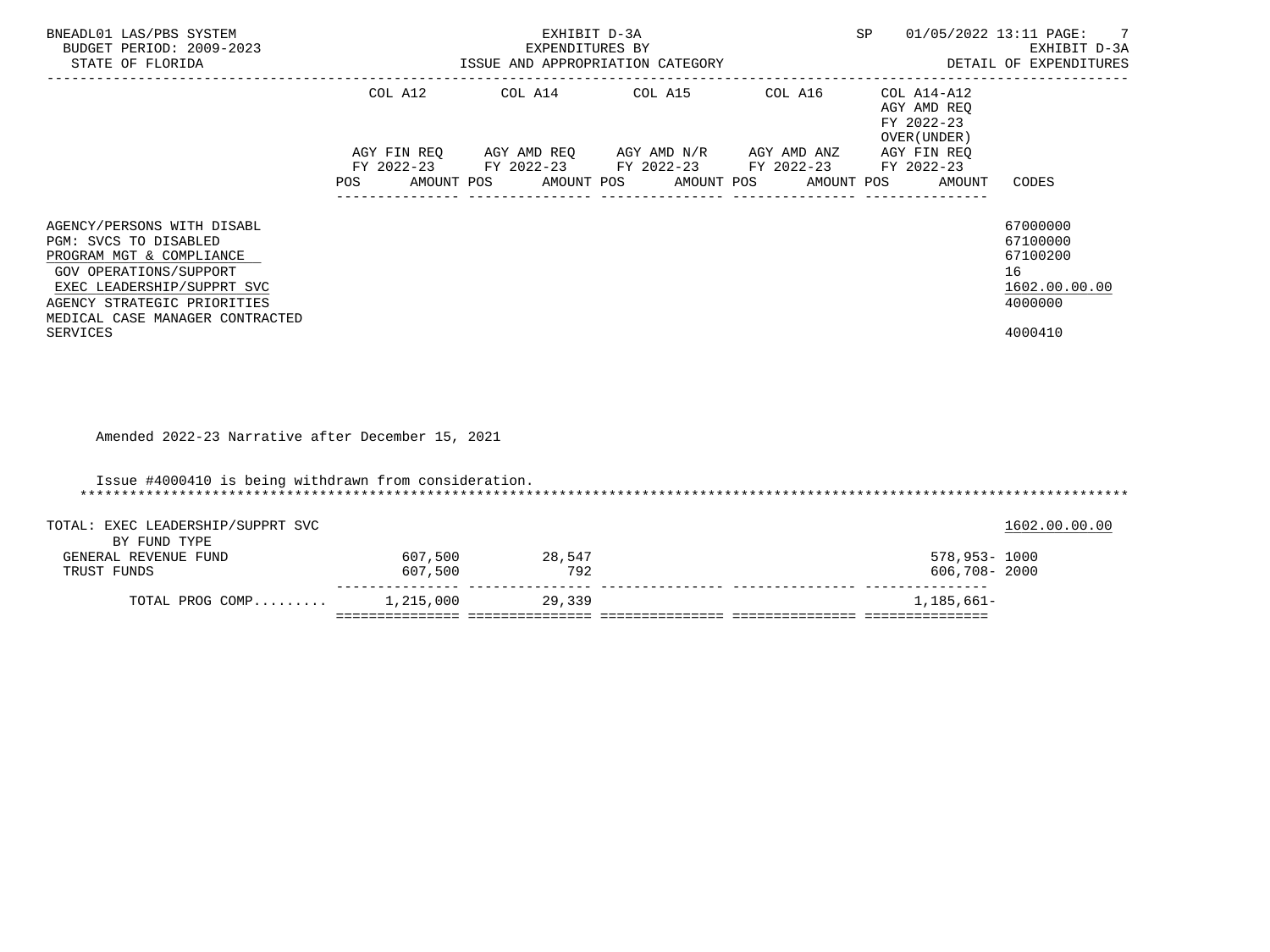| BNEADL01 LAS/PBS SYSTEM<br>BUDGET PERIOD: 2009-2023<br>STATE OF FLORIDA                                                                                                                                                      |                    | EXHIBIT D-3A<br>EXPENDITURES BY | ISSUE AND APPROPRIATION CATEGORY                                                                                                                                                                                                                                               | SP<br>01/05/2022 13:11 PAGE:                                   | EXHIBIT D-3A<br>DETAIL OF EXPENDITURES                                        |
|------------------------------------------------------------------------------------------------------------------------------------------------------------------------------------------------------------------------------|--------------------|---------------------------------|--------------------------------------------------------------------------------------------------------------------------------------------------------------------------------------------------------------------------------------------------------------------------------|----------------------------------------------------------------|-------------------------------------------------------------------------------|
|                                                                                                                                                                                                                              |                    |                                 | COL A12 COL A14 COL A15 COL A16 COL A14-A12<br>$AGY \text{ FIN REQ} \qquad \text{AGY AMD REQ} \qquad \text{AGY AMD N/R} \qquad \text{AGY AMD ANZ} \qquad \text{AGY FIN REQ}$<br>FY 2022-23 FY 2022-23 FY 2022-23 FY 2022-23 FY 2022-23<br>POS AMOUNT POS AMOUNT POS AMOUNT POS | AGY AMD REQ<br>FY 2022-23<br>OVER (UNDER)<br>AMOUNT POS AMOUNT | CODES                                                                         |
| AGENCY/PERSONS WITH DISABL<br>PGM: SVCS TO DISABLED<br>PROGRAM MGT & COMPLIANCE<br>GOV OPERATIONS/SUPPORT<br>EXEC LEADERSHIP/SUPPRT SVC<br>AGENCY STRATEGIC PRIORITIES<br>MEDICAL CASE MANAGER CONTRACTED<br><b>SERVICES</b> |                    |                                 |                                                                                                                                                                                                                                                                                |                                                                | 67000000<br>67100000<br>67100200<br>16<br>1602.00.00.00<br>4000000<br>4000410 |
| Amended 2022-23 Narrative after December 15, 2021                                                                                                                                                                            |                    |                                 |                                                                                                                                                                                                                                                                                |                                                                |                                                                               |
| Issue #4000410 is being withdrawn from consideration.                                                                                                                                                                        |                    |                                 |                                                                                                                                                                                                                                                                                |                                                                |                                                                               |
| TOTAL: EXEC LEADERSHIP/SUPPRT SVC<br>BY FUND TYPE                                                                                                                                                                            |                    |                                 |                                                                                                                                                                                                                                                                                |                                                                | 1602.00.00.00                                                                 |
| GENERAL REVENUE FUND<br>TRUST FUNDS                                                                                                                                                                                          | 607,500<br>607,500 | 28,547<br>792                   |                                                                                                                                                                                                                                                                                | 578,953- 1000<br>606,708- 2000                                 |                                                                               |
| TOTAL PROG COMP 1,215,000 29,339                                                                                                                                                                                             |                    |                                 |                                                                                                                                                                                                                                                                                | 1,185,661-                                                     |                                                                               |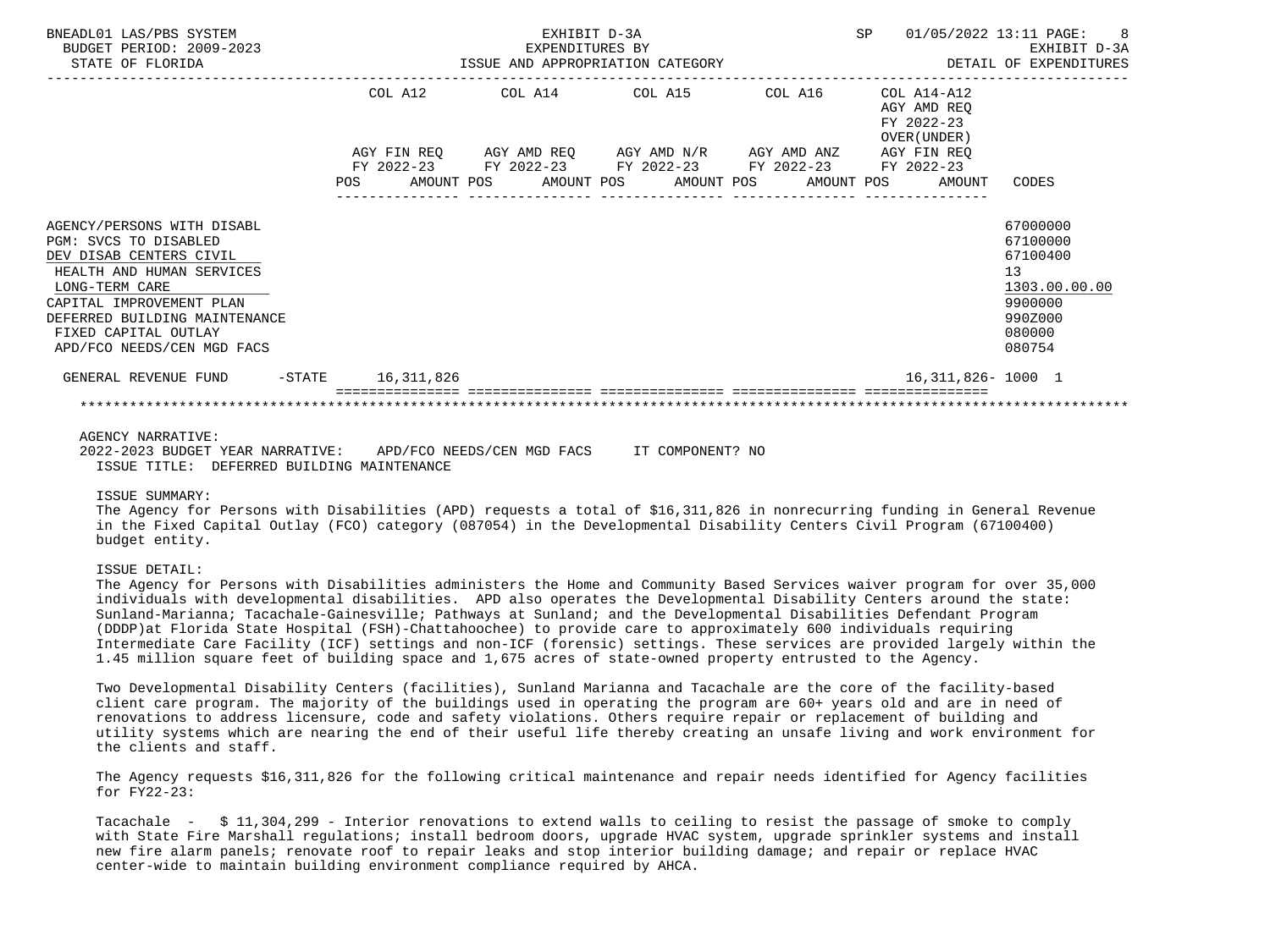| BNEADL01 LAS/PBS SYSTEM<br>BUDGET PERIOD: 2009-2023<br>STATE OF FLORIDA                                                                                                                                                                          |            | ISSUE AND APPROPRIATION CATEGORY                                       |  | EXHIBIT D-3A<br>EXPENDITURES BY |  |                                             |  |  | <b>SP</b> |                                                           | 01/05/2022 13:11 PAGE: 8<br>EXHIBIT D-3A<br>DETAIL OF EXPENDITURES                                |
|--------------------------------------------------------------------------------------------------------------------------------------------------------------------------------------------------------------------------------------------------|------------|------------------------------------------------------------------------|--|---------------------------------|--|---------------------------------------------|--|--|-----------|-----------------------------------------------------------|---------------------------------------------------------------------------------------------------|
|                                                                                                                                                                                                                                                  |            | COL A12<br>AGY FIN REQ AGY AMD REQ AGY AMD N/R AGY AMD ANZ AGY FIN REQ |  |                                 |  | COL A14 COL A15 COL A16                     |  |  |           | COL A14-A12<br>AGY AMD REO<br>FY 2022-23<br>OVER (UNDER ) |                                                                                                   |
|                                                                                                                                                                                                                                                  | <b>POS</b> | FY 2022-23 FY 2022-23 FY 2022-23 FY 2022-23 FY 2022-23                 |  |                                 |  | AMOUNT POS AMOUNT POS AMOUNT POS AMOUNT POS |  |  |           | AMOUNT                                                    | CODES                                                                                             |
| AGENCY/PERSONS WITH DISABL<br>PGM: SVCS TO DISABLED<br>DEV DISAB CENTERS CIVIL<br>HEALTH AND HUMAN SERVICES<br>LONG-TERM CARE<br>CAPITAL IMPROVEMENT PLAN<br>DEFERRED BUILDING MAINTENANCE<br>FIXED CAPITAL OUTLAY<br>APD/FCO NEEDS/CEN MGD FACS |            |                                                                        |  |                                 |  |                                             |  |  |           |                                                           | 67000000<br>67100000<br>67100400<br>13<br>1303.00.00.00<br>9900000<br>990Z000<br>080000<br>080754 |
| GENERAL REVENUE FUND -STATE 16,311,826                                                                                                                                                                                                           |            |                                                                        |  |                                 |  |                                             |  |  |           | 16, 311, 826 - 1000 1                                     |                                                                                                   |
|                                                                                                                                                                                                                                                  |            |                                                                        |  |                                 |  |                                             |  |  |           |                                                           |                                                                                                   |

## AGENCY NARRATIVE:

 2022-2023 BUDGET YEAR NARRATIVE: APD/FCO NEEDS/CEN MGD FACS IT COMPONENT? NO ISSUE TITLE: DEFERRED BUILDING MAINTENANCE

### ISSUE SUMMARY:

 The Agency for Persons with Disabilities (APD) requests a total of \$16,311,826 in nonrecurring funding in General Revenue in the Fixed Capital Outlay (FCO) category (087054) in the Developmental Disability Centers Civil Program (67100400) budget entity.

## ISSUE DETAIL:

 The Agency for Persons with Disabilities administers the Home and Community Based Services waiver program for over 35,000 individuals with developmental disabilities. APD also operates the Developmental Disability Centers around the state: Sunland-Marianna; Tacachale-Gainesville; Pathways at Sunland; and the Developmental Disabilities Defendant Program (DDDP)at Florida State Hospital (FSH)-Chattahoochee) to provide care to approximately 600 individuals requiring Intermediate Care Facility (ICF) settings and non-ICF (forensic) settings. These services are provided largely within the 1.45 million square feet of building space and 1,675 acres of state-owned property entrusted to the Agency.

 Two Developmental Disability Centers (facilities), Sunland Marianna and Tacachale are the core of the facility-based client care program. The majority of the buildings used in operating the program are 60+ years old and are in need of renovations to address licensure, code and safety violations. Others require repair or replacement of building and utility systems which are nearing the end of their useful life thereby creating an unsafe living and work environment for the clients and staff.

 The Agency requests \$16,311,826 for the following critical maintenance and repair needs identified for Agency facilities for FY22-23:

 Tacachale - \$ 11,304,299 - Interior renovations to extend walls to ceiling to resist the passage of smoke to comply with State Fire Marshall regulations; install bedroom doors, upgrade HVAC system, upgrade sprinkler systems and install new fire alarm panels; renovate roof to repair leaks and stop interior building damage; and repair or replace HVAC center-wide to maintain building environment compliance required by AHCA.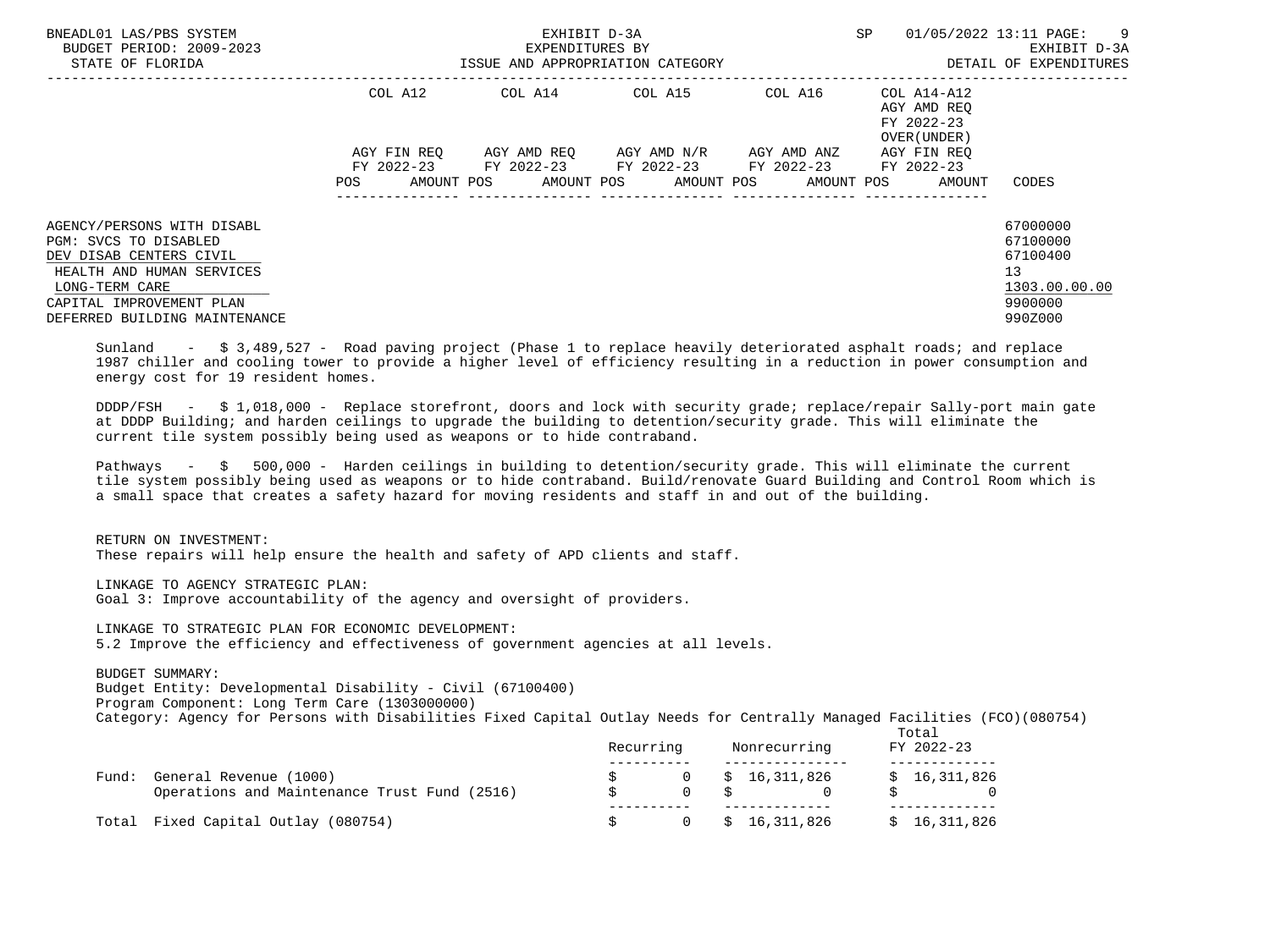| BNEADL01 LAS/PBS SYSTEM<br>BUDGET PERIOD: 2009-2023<br>STATE OF FLORIDA                                                                                                                                                                                                            | EXPENDITURES BY<br>ISSUE AND APPROPRIATION CATEGORY | EXHIBIT D-3A<br>EXPENDITURES BY                                                 | SP                                            | $01/05/2022$ 13:11 PAGE: 9<br>EXHIBIT D-3A<br>DETAIL OF EXPENDITURES |                                                           |                                                                               |
|------------------------------------------------------------------------------------------------------------------------------------------------------------------------------------------------------------------------------------------------------------------------------------|-----------------------------------------------------|---------------------------------------------------------------------------------|-----------------------------------------------|----------------------------------------------------------------------|-----------------------------------------------------------|-------------------------------------------------------------------------------|
|                                                                                                                                                                                                                                                                                    | COL A12                                             |                                                                                 | COL A14 COL A15                               | COL A16                                                              | COL A14-A12<br>AGY AMD REO<br>FY 2022-23<br>OVER (UNDER ) |                                                                               |
|                                                                                                                                                                                                                                                                                    | AGY FIN REO<br>POS                                  | FY 2022-23 FY 2022-23 FY 2022-23 FY 2022-23<br>AMOUNT POS AMOUNT POS AMOUNT POS | AGY AMD REO      AGY AMD N/R      AGY AMD ANZ |                                                                      | AGY FIN REO<br>FY 2022-23<br>AMOUNT POS<br>AMOUNT         | CODES                                                                         |
| AGENCY/PERSONS WITH DISABL<br>PGM: SVCS TO DISABLED<br>DEV DISAB CENTERS CIVIL<br>HEALTH AND HUMAN SERVICES<br>LONG-TERM CARE<br>CAPITAL IMPROVEMENT PLAN<br>DEFERRED BUILDING MAINTENANCE                                                                                         |                                                     |                                                                                 |                                               |                                                                      |                                                           | 67000000<br>67100000<br>67100400<br>13<br>1303.00.00.00<br>9900000<br>990Z000 |
| Sunland - \$ 3,489,527 - Road paving project (Phase 1 to replace heavily deteriorated asphalt roads; and replace<br>1987 chiller and cooling tower to provide a higher level of efficiency resulting in a reduction in power consumption and<br>energy cost for 19 resident homes. |                                                     |                                                                                 |                                               |                                                                      |                                                           |                                                                               |

 DDDP/FSH - \$ 1,018,000 - Replace storefront, doors and lock with security grade; replace/repair Sally-port main gate at DDDP Building; and harden ceilings to upgrade the building to detention/security grade. This will eliminate the current tile system possibly being used as weapons or to hide contraband.

 Pathways - \$ 500,000 - Harden ceilings in building to detention/security grade. This will eliminate the current tile system possibly being used as weapons or to hide contraband. Build/renovate Guard Building and Control Room which is a small space that creates a safety hazard for moving residents and staff in and out of the building.

 RETURN ON INVESTMENT: These repairs will help ensure the health and safety of APD clients and staff.

 LINKAGE TO AGENCY STRATEGIC PLAN: Goal 3: Improve accountability of the agency and oversight of providers.

 LINKAGE TO STRATEGIC PLAN FOR ECONOMIC DEVELOPMENT: 5.2 Improve the efficiency and effectiveness of government agencies at all levels.

 BUDGET SUMMARY: Budget Entity: Developmental Disability - Civil (67100400) Program Component: Long Term Care (1303000000) Category: Agency for Persons with Disabilities Fixed Capital Outlay Needs for Centrally Managed Facilities (FCO)(080754)

|       |                                                                        | Recurring |          | Nonrecurring           | Total<br>FY 2022-23 |
|-------|------------------------------------------------------------------------|-----------|----------|------------------------|---------------------|
| Fund: | General Revenue (1000)<br>Operations and Maintenance Trust Fund (2516) |           | $\Omega$ | $0 \qquad $16,311,826$ | \$16,311,826        |
|       | Total Fixed Capital Outlay (080754)                                    |           |          | \$16,311,826           | \$16,311,826        |